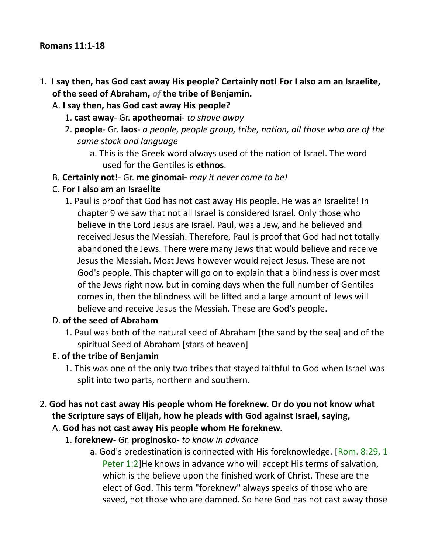#### **Romans 11:1-18**

- 1. **I say then, has God cast away His people? Certainly not! For I also am an Israelite, of the seed of Abraham,** *of* **the tribe of Benjamin.**
	- A. **I say then, has God cast away His people?**
		- 1. **cast away** Gr. **apotheomai** *to shove away*
		- 2. **people** Gr. **laos** *a people, people group, tribe, nation, all those who are of the same stock and language*
			- a. This is the Greek word always used of the nation of Israel. The word used for the Gentiles is **ethnos**.
	- B. **Certainly not!** Gr. **me ginomai-** *may it never come to be!*
	- C. **For I also am an Israelite**
		- 1. Paul is proof that God has not cast away His people. He was an Israelite! In chapter 9 we saw that not all Israel is considered Israel. Only those who believe in the Lord Jesus are Israel. Paul, was a Jew, and he believed and received Jesus the Messiah. Therefore, Paul is proof that God had not totally abandoned the Jews. There were many Jews that would believe and receive Jesus the Messiah. Most Jews however would reject Jesus. These are not God's people. This chapter will go on to explain that a blindness is over most of the Jews right now, but in coming days when the full number of Gentiles comes in, then the blindness will be lifted and a large amount of Jews will believe and receive Jesus the Messiah. These are God's people.

#### D. **of the seed of Abraham**

1. Paul was both of the natural seed of Abraham [the sand by the sea] and of the spiritual Seed of Abraham [stars of heaven]

#### E. **of the tribe of Benjamin**

1. This was one of the only two tribes that stayed faithful to God when Israel was split into two parts, northern and southern.

# 2. **God has not cast away His people whom He foreknew. Or do you not know what the Scripture says of Elijah, how he pleads with God against Israel, saying,**

- A. **God has not cast away His people whom He foreknew**.
	- 1. **foreknew** Gr. **proginosko** *to know in advance*
		- a. God's predestination is connected with His foreknowledge. [Rom. 8:29, 1] Peter 1:2]He knows in advance who will accept His terms of salvation, which is the believe upon the finished work of Christ. These are the elect of God. This term "foreknew" always speaks of those who are saved, not those who are damned. So here God has not cast away those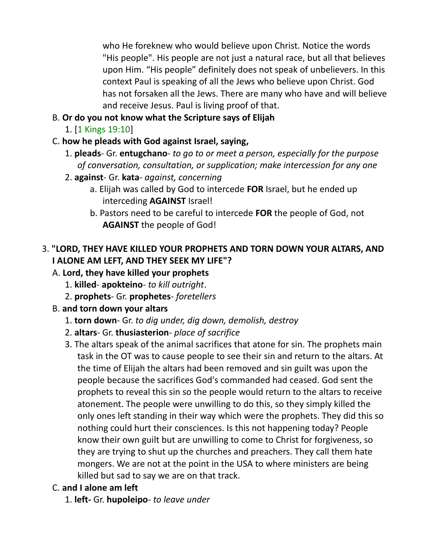who He foreknew who would believe upon Christ. Notice the words "His people". His people are not just a natural race, but all that believes upon Him. "His people" definitely does not speak of unbelievers. In this context Paul is speaking of all the Jews who believe upon Christ. God has not forsaken all the Jews. There are many who have and will believe and receive Jesus. Paul is living proof of that.

- B. **Or do you not know what the Scripture says of Elijah**
	- 1. [1 Kings 19:10]
- C. **how he pleads with God against Israel, saying,**
	- 1. **pleads** Gr. **entugchano** *to go to or meet a person, especially for the purpose of conversation, consultation, or supplication; make intercession for any one*
	- 2. **against** Gr. **kata** *against, concerning*
		- a. Elijah was called by God to intercede **FOR** Israel, but he ended up interceding **AGAINST** Israel!
		- b. Pastors need to be careful to intercede **FOR** the people of God, not **AGAINST** the people of God!

# 3. **"LORD, THEY HAVE KILLED YOUR PROPHETS AND TORN DOWN YOUR ALTARS, AND I ALONE AM LEFT, AND THEY SEEK MY LIFE"?**

# A. **Lord, they have killed your prophets**

- 1. **killed apokteino** *to kill outright*.
- 2. **prophets** Gr. **prophetes** *foretellers*
- B. **and torn down your altars**
	- 1. **torn down** Gr. *to dig under, dig down, demolish, destroy*
	- 2. **altars** Gr. **thusiasterion** *place of sacrifice*
	- 3. The altars speak of the animal sacrifices that atone for sin. The prophets main task in the OT was to cause people to see their sin and return to the altars. At the time of Elijah the altars had been removed and sin guilt was upon the people because the sacrifices God's commanded had ceased. God sent the prophets to reveal this sin so the people would return to the altars to receive atonement. The people were unwilling to do this, so they simply killed the only ones left standing in their way which were the prophets. They did this so nothing could hurt their consciences. Is this not happening today? People know their own guilt but are unwilling to come to Christ for forgiveness, so they are trying to shut up the churches and preachers. They call them hate mongers. We are not at the point in the USA to where ministers are being killed but sad to say we are on that track.

### C. **and I alone am left**

1. **left-** Gr. **hupoleipo**- *to leave under*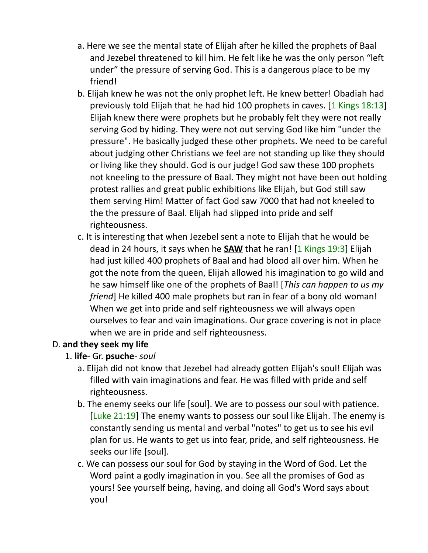- a. Here we see the mental state of Elijah after he killed the prophets of Baal and Jezebel threatened to kill him. He felt like he was the only person "left under" the pressure of serving God. This is a dangerous place to be my friend!
- b. Elijah knew he was not the only prophet left. He knew better! Obadiah had previously told Elijah that he had hid 100 prophets in caves. [1 Kings 18:13] Elijah knew there were prophets but he probably felt they were not really serving God by hiding. They were not out serving God like him "under the pressure". He basically judged these other prophets. We need to be careful about judging other Christians we feel are not standing up like they should or living like they should. God is our judge! God saw these 100 prophets not kneeling to the pressure of Baal. They might not have been out holding protest rallies and great public exhibitions like Elijah, but God still saw them serving Him! Matter of fact God saw 7000 that had not kneeled to the the pressure of Baal. Elijah had slipped into pride and self righteousness.
- c. It is interesting that when Jezebel sent a note to Elijah that he would be dead in 24 hours, it says when he **SAW** that he ran! [1 Kings 19:3] Elijah had just killed 400 prophets of Baal and had blood all over him. When he got the note from the queen, Elijah allowed his imagination to go wild and he saw himself like one of the prophets of Baal! [*This can happen to us my friend*] He killed 400 male prophets but ran in fear of a bony old woman! When we get into pride and self righteousness we will always open ourselves to fear and vain imaginations. Our grace covering is not in place when we are in pride and self righteousness.

#### D. **and they seek my life**

- 1. **life** Gr. **psuche** *soul*
	- a. Elijah did not know that Jezebel had already gotten Elijah's soul! Elijah was filled with vain imaginations and fear. He was filled with pride and self righteousness.
	- b. The enemy seeks our life [soul]. We are to possess our soul with patience. [Luke 21:19] The enemy wants to possess our soul like Elijah. The enemy is constantly sending us mental and verbal "notes" to get us to see his evil plan for us. He wants to get us into fear, pride, and self righteousness. He seeks our life [soul].
	- c. We can possess our soul for God by staying in the Word of God. Let the Word paint a godly imagination in you. See all the promises of God as yours! See yourself being, having, and doing all God's Word says about you!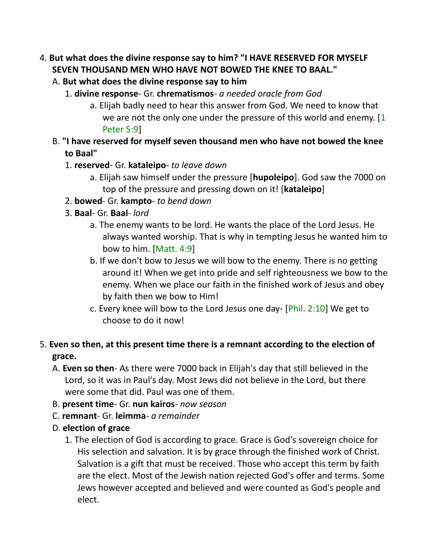- 4. **But what does the divine response say to him? "I HAVE RESERVED FOR MYSELF SEVEN THOUSAND MEN WHO HAVE NOT BOWED THE KNEE TO BAAL."** 
	- A. **But what does the divine response say to him**
		- 1. **divine response** Gr. **chrematismos** *a needed oracle from God*
			- a. Elijah badly need to hear this answer from God. We need to know that we are not the only one under the pressure of this world and enemy. [1] Peter 5:9]
	- B. **"I have reserved for myself seven thousand men who have not bowed the knee to Baal"**
		- 1. **reserved** Gr. **kataleipo** *to leave down*
			- a. Elijah saw himself under the pressure [**hupoleipo**]. God saw the 7000 on top of the pressure and pressing down on it! [**kataleipo**]
		- 2. **bowed** Gr. **kampto** *to bend down*
		- 3. **Baal** Gr. **Baal** *lord*
			- a. The enemy wants to be lord. He wants the place of the Lord Jesus. He always wanted worship. That is why in tempting Jesus he wanted him to bow to him. [Matt. 4:9]
			- b. If we don't bow to Jesus we will bow to the enemy. There is no getting around it! When we get into pride and self righteousness we bow to the enemy. When we place our faith in the finished work of Jesus and obey by faith then we bow to Him!
			- c. Every knee will bow to the Lord Jesus one day- [Phil. 2:10] We get to choose to do it now!
- 5. **Even so then, at this present time there is a remnant according to the election of grace.**
	- A. **Even so then** As there were 7000 back in Elijah's day that still believed in the Lord, so it was in Paul's day. Most Jews did not believe in the Lord, but there were some that did. Paul was one of them.
	- B. **present time** Gr. **nun kairos** *now season*
	- C. **remnant** Gr. **leimma** *a remainder*
	- D. **election of grace**
		- 1. The election of God is according to grace. Grace is God's sovereign choice for His selection and salvation. It is by grace through the finished work of Christ. Salvation is a gift that must be received. Those who accept this term by faith are the elect. Most of the Jewish nation rejected God's offer and terms. Some Jews however accepted and believed and were counted as God's people and elect.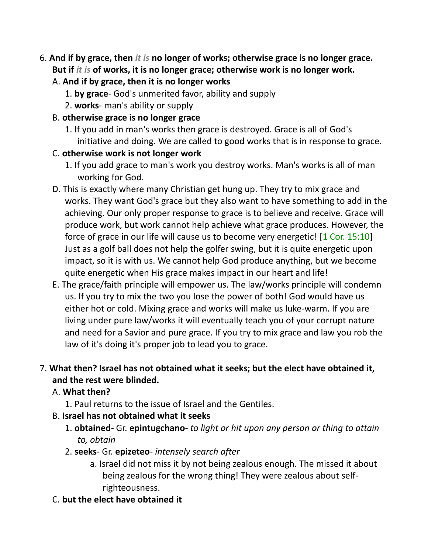- 6. **And if by grace, then** *it is* **no longer of works; otherwise grace is no longer grace. But if** *it is* **of works, it is no longer grace; otherwise work is no longer work.** 
	- A. **And if by grace, then it is no longer works**
		- 1. **by grace** God's unmerited favor, ability and supply
		- 2. **works** man's ability or supply
	- B. **otherwise grace is no longer grace**
		- 1. If you add in man's works then grace is destroyed. Grace is all of God's initiative and doing. We are called to good works that is in response to grace.
	- C. **otherwise work is not longer work**
		- 1. If you add grace to man's work you destroy works. Man's works is all of man working for God.
	- D. This is exactly where many Christian get hung up. They try to mix grace and works. They want God's grace but they also want to have something to add in the achieving. Our only proper response to grace is to believe and receive. Grace will produce work, but work cannot help achieve what grace produces. However, the force of grace in our life will cause us to become very energetic! [1 Cor. 15:10] Just as a golf ball does not help the golfer swing, but it is quite energetic upon impact, so it is with us. We cannot help God produce anything, but we become quite energetic when His grace makes impact in our heart and life!
	- E. The grace/faith principle will empower us. The law/works principle will condemn us. If you try to mix the two you lose the power of both! God would have us either hot or cold. Mixing grace and works will make us luke-warm. If you are living under pure law/works it will eventually teach you of your corrupt nature and need for a Savior and pure grace. If you try to mix grace and law you rob the law of it's doing it's proper job to lead you to grace.

# 7. **What then? Israel has not obtained what it seeks; but the elect have obtained it, and the rest were blinded.**

- A. **What then?**
	- 1. Paul returns to the issue of Israel and the Gentiles.
- B. **Israel has not obtained what it seeks**
	- 1. **obtained** Gr. **epintugchano** *to light or hit upon any person or thing to attain to, obtain*
	- 2. **seeks** Gr. **epizeteo** *intensely search after*
		- a. Israel did not miss it by not being zealous enough. The missed it about being zealous for the wrong thing! They were zealous about selfrighteousness.
- C. **but the elect have obtained it**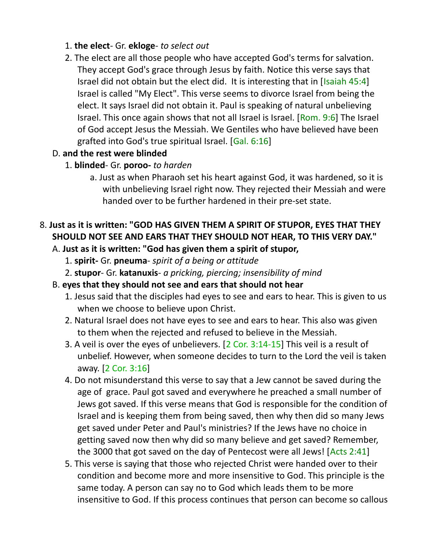#### 1. **the elect**- Gr. **ekloge**- *to select out*

2. The elect are all those people who have accepted God's terms for salvation. They accept God's grace through Jesus by faith. Notice this verse says that Israel did not obtain but the elect did. It is interesting that in [Isaiah 45:4] Israel is called "My Elect". This verse seems to divorce Israel from being the elect. It says Israel did not obtain it. Paul is speaking of natural unbelieving Israel. This once again shows that not all Israel is Israel. [Rom. 9:6] The Israel of God accept Jesus the Messiah. We Gentiles who have believed have been grafted into God's true spiritual Israel. [Gal. 6:16]

### D. **and the rest were blinded**

- 1. **blinded** Gr. **poroo-** *to harden*
	- a. Just as when Pharaoh set his heart against God, it was hardened, so it is with unbelieving Israel right now. They rejected their Messiah and were handed over to be further hardened in their pre-set state.

# 8. **Just as it is written: "GOD HAS GIVEN THEM A SPIRIT OF STUPOR, EYES THAT THEY SHOULD NOT SEE AND EARS THAT THEY SHOULD NOT HEAR, TO THIS VERY DAY."**

- A. **Just as it is written: "God has given them a spirit of stupor,**
	- 1. **spirit-** Gr. **pneuma** *spirit of a being or attitude*
	- 2. **stupor** Gr. **katanuxis** *a pricking, piercing; insensibility of mind*
- B. **eyes that they should not see and ears that should not hear**
	- 1. Jesus said that the disciples had eyes to see and ears to hear. This is given to us when we choose to believe upon Christ.
	- 2. Natural Israel does not have eyes to see and ears to hear. This also was given to them when the rejected and refused to believe in the Messiah.
	- 3. A veil is over the eyes of unbelievers. [2 Cor. 3:14-15] This veil is a result of unbelief. However, when someone decides to turn to the Lord the veil is taken away. [2 Cor. 3:16]
	- 4. Do not misunderstand this verse to say that a Jew cannot be saved during the age of grace. Paul got saved and everywhere he preached a small number of Jews got saved. If this verse means that God is responsible for the condition of Israel and is keeping them from being saved, then why then did so many Jews get saved under Peter and Paul's ministries? If the Jews have no choice in getting saved now then why did so many believe and get saved? Remember, the 3000 that got saved on the day of Pentecost were all Jews! [Acts 2:41]
	- 5. This verse is saying that those who rejected Christ were handed over to their condition and become more and more insensitive to God. This principle is the same today. A person can say no to God which leads them to be more insensitive to God. If this process continues that person can become so callous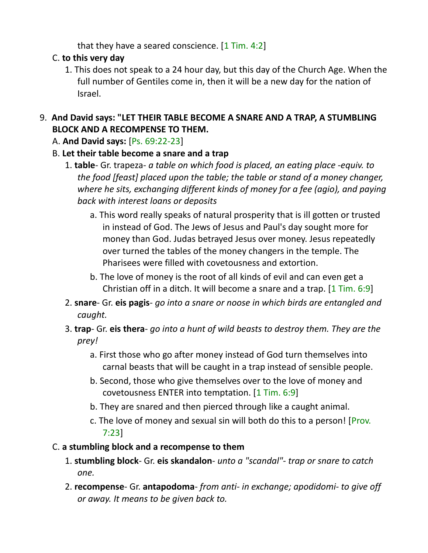that they have a seared conscience.  $[1$  Tim. 4:2]

# C. **to this very day**

1. This does not speak to a 24 hour day, but this day of the Church Age. When the full number of Gentiles come in, then it will be a new day for the nation of Israel.

# 9. **And David says: "LET THEIR TABLE BECOME A SNARE AND A TRAP, A STUMBLING BLOCK AND A RECOMPENSE TO THEM.**

- A. **And David says:** [Ps. 69:22-23]
- B. **Let their table become a snare and a trap**
	- 1. **table** Gr. trapeza- *a table on which food is placed, an eating place -equiv. to the food [feast] placed upon the table; the table or stand of a money changer, where he sits, exchanging different kinds of money for a fee (agio), and paying back with interest loans or deposits*
		- a. This word really speaks of natural prosperity that is ill gotten or trusted in instead of God. The Jews of Jesus and Paul's day sought more for money than God. Judas betrayed Jesus over money. Jesus repeatedly over turned the tables of the money changers in the temple. The Pharisees were filled with covetousness and extortion.
		- b. The love of money is the root of all kinds of evil and can even get a Christian off in a ditch. It will become a snare and a trap. [1 Tim. 6:9]
	- 2. **snare** Gr. **eis pagis** *go into a snare or noose in which birds are entangled and caught.*
	- 3. **trap** Gr. **eis thera** *go into a hunt of wild beasts to destroy them. They are the prey!*
		- a. First those who go after money instead of God turn themselves into carnal beasts that will be caught in a trap instead of sensible people.
		- b. Second, those who give themselves over to the love of money and covetousness ENTER into temptation. [1 Tim. 6:9]
		- b. They are snared and then pierced through like a caught animal.
		- c. The love of money and sexual sin will both do this to a person! [Prov. 7:23]

# C. **a stumbling block and a recompense to them**

- 1. **stumbling block** Gr. **eis skandalon** *unto a "scandal"- trap or snare to catch one.*
- 2. **recompense** Gr. **antapodoma** *from anti- in exchange; apodidomi- to give off or away. It means to be given back to.*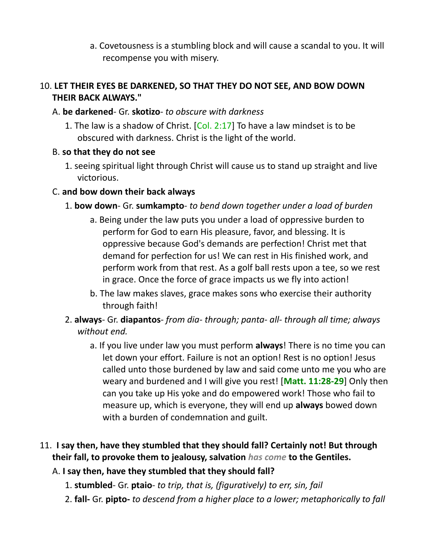a. Covetousness is a stumbling block and will cause a scandal to you. It will recompense you with misery.

### 10. **LET THEIR EYES BE DARKENED, SO THAT THEY DO NOT SEE, AND BOW DOWN THEIR BACK ALWAYS."**

#### A. **be darkened**- Gr. **skotizo**- *to obscure with darkness*

1. The law is a shadow of Christ.  $[Col. 2:17]$  To have a law mindset is to be obscured with darkness. Christ is the light of the world.

#### B. **so that they do not see**

1. seeing spiritual light through Christ will cause us to stand up straight and live victorious.

#### C. **and bow down their back always**

- 1. **bow down** Gr. **sumkampto** *to bend down together under a load of burden*
	- a. Being under the law puts you under a load of oppressive burden to perform for God to earn His pleasure, favor, and blessing. It is oppressive because God's demands are perfection! Christ met that demand for perfection for us! We can rest in His finished work, and perform work from that rest. As a golf ball rests upon a tee, so we rest in grace. Once the force of grace impacts us we fly into action!
	- b. The law makes slaves, grace makes sons who exercise their authority through faith!
- 2. **always** Gr. **diapantos** *from dia- through; panta- all- through all time; always without end.*
	- a. If you live under law you must perform **always**! There is no time you can let down your effort. Failure is not an option! Rest is no option! Jesus called unto those burdened by law and said come unto me you who are weary and burdened and I will give you rest! [**Matt. 11:28-29**] Only then can you take up His yoke and do empowered work! Those who fail to measure up, which is everyone, they will end up **always** bowed down with a burden of condemnation and guilt.
- 11. **I say then, have they stumbled that they should fall? Certainly not! But through their fall, to provoke them to jealousy, salvation** *has come* **to the Gentiles.**

### A. **I say then, have they stumbled that they should fall?**

- 1. **stumbled** Gr. **ptaio** *to trip, that is, (figuratively) to err, sin, fail*
- 2. **fall-** Gr. **pipto-** *to descend from a higher place to a lower; metaphorically to fall*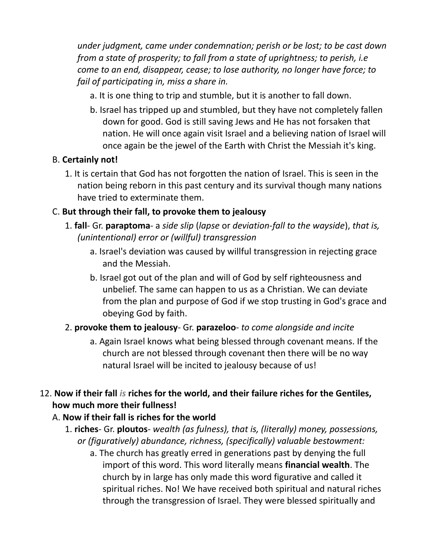*under judgment, came under condemnation; perish or be lost; to be cast down from a state of prosperity; to fall from a state of uprightness; to perish, i.e come to an end, disappear, cease; to lose authority, no longer have force; to fail of participating in, miss a share in.*

- a. It is one thing to trip and stumble, but it is another to fall down.
- b. Israel has tripped up and stumbled, but they have not completely fallen down for good. God is still saving Jews and He has not forsaken that nation. He will once again visit Israel and a believing nation of Israel will once again be the jewel of the Earth with Christ the Messiah it's king.

### B. **Certainly not!**

1. It is certain that God has not forgotten the nation of Israel. This is seen in the nation being reborn in this past century and its survival though many nations have tried to exterminate them.

### C. **But through their fall, to provoke them to jealousy**

- 1. **fall** Gr. **paraptoma** a *side slip* (*lapse* or *deviation-fall to the wayside*), *that is, (unintentional) error or (willful) transgression*
	- a. Israel's deviation was caused by willful transgression in rejecting grace and the Messiah.
	- b. Israel got out of the plan and will of God by self righteousness and unbelief. The same can happen to us as a Christian. We can deviate from the plan and purpose of God if we stop trusting in God's grace and obeying God by faith.

### 2. **provoke them to jealousy**- Gr. **parazeloo**- *to come alongside and incite*

a. Again Israel knows what being blessed through covenant means. If the church are not blessed through covenant then there will be no way natural Israel will be incited to jealousy because of us!

# 12. **Now if their fall** *is* **riches for the world, and their failure riches for the Gentiles, how much more their fullness!**

### A. **Now if their fall is riches for the world**

- 1. **riches** Gr. **ploutos** *wealth (as fulness), that is, (literally) money, possessions, or (figuratively) abundance, richness, (specifically) valuable bestowment:*
	- a. The church has greatly erred in generations past by denying the full import of this word. This word literally means **financial wealth**. The church by in large has only made this word figurative and called it spiritual riches. No! We have received both spiritual and natural riches through the transgression of Israel. They were blessed spiritually and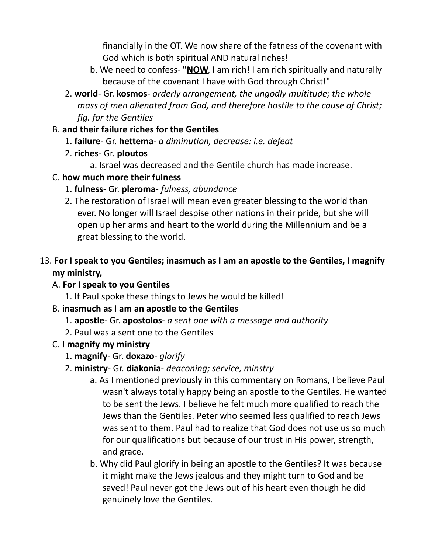financially in the OT. We now share of the fatness of the covenant with God which is both spiritual AND natural riches!

- b. We need to confess- "**NOW**, I am rich! I am rich spiritually and naturally because of the covenant I have with God through Christ!"
- 2. **world** Gr. **kosmos** *orderly arrangement, the ungodly multitude; the whole mass of men alienated from God, and therefore hostile to the cause of Christ; fig. for the Gentiles*

#### B. **and their failure riches for the Gentiles**

- 1. **failure** Gr. **hettema** *a diminution, decrease: i.e. defeat*
- 2. **riches** Gr. **ploutos**
	- a. Israel was decreased and the Gentile church has made increase.
- C. **how much more their fulness**
	- 1. **fulness** Gr. **pleroma-** *fulness, abundance*
	- 2. The restoration of Israel will mean even greater blessing to the world than ever. No longer will Israel despise other nations in their pride, but she will open up her arms and heart to the world during the Millennium and be a great blessing to the world.

# 13. **For I speak to you Gentiles; inasmuch as I am an apostle to the Gentiles, I magnify my ministry,**

- A. **For I speak to you Gentiles**
	- 1. If Paul spoke these things to Jews he would be killed!
- B. **inasmuch as I am an apostle to the Gentiles**
	- 1. **apostle** Gr. **apostolos** *a sent one with a message and authority*
	- 2. Paul was a sent one to the Gentiles
- C. **I magnify my ministry**
	- 1. **magnify** Gr. **doxazo** *glorify*
	- 2. **ministry** Gr. **diakonia** *deaconing; service, minstry*
		- a. As I mentioned previously in this commentary on Romans, I believe Paul wasn't always totally happy being an apostle to the Gentiles. He wanted to be sent the Jews. I believe he felt much more qualified to reach the Jews than the Gentiles. Peter who seemed less qualified to reach Jews was sent to them. Paul had to realize that God does not use us so much for our qualifications but because of our trust in His power, strength, and grace.
		- b. Why did Paul glorify in being an apostle to the Gentiles? It was because it might make the Jews jealous and they might turn to God and be saved! Paul never got the Jews out of his heart even though he did genuinely love the Gentiles.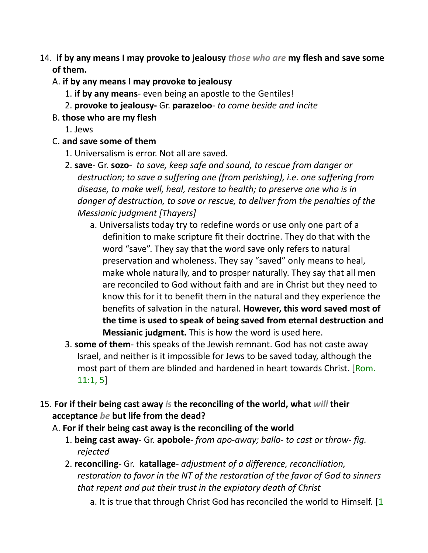- 14. **if by any means I may provoke to jealousy** *those who are* **my flesh and save some of them.** 
	- A. **if by any means I may provoke to jealousy**
		- 1. **if by any means** even being an apostle to the Gentiles!
		- 2. **provoke to jealousy-** Gr. **parazeloo** *to come beside and incite*
	- B. **those who are my flesh**
		- 1. Jews

#### C. **and save some of them**

- 1. Universalism is error. Not all are saved.
- 2. **save** Gr. **sozo** *to save, keep safe and sound, to rescue from danger or destruction; to save a suffering one (from perishing), i.e. one suffering from disease, to make well, heal, restore to health; to preserve one who is in danger of destruction, to save or rescue, to deliver from the penalties of the Messianic judgment [Thayers]*
	- a. Universalists today try to redefine words or use only one part of a definition to make scripture fit their doctrine. They do that with the word "save". They say that the word save only refers to natural preservation and wholeness. They say "saved" only means to heal, make whole naturally, and to prosper naturally. They say that all men are reconciled to God without faith and are in Christ but they need to know this for it to benefit them in the natural and they experience the benefits of salvation in the natural. **However, this word saved most of the time is used to speak of being saved from eternal destruction and Messianic judgment.** This is how the word is used here.
- 3. **some of them** this speaks of the Jewish remnant. God has not caste away Israel, and neither is it impossible for Jews to be saved today, although the most part of them are blinded and hardened in heart towards Christ. [Rom. 11:1, 5]
- 15. **For if their being cast away** *is* **the reconciling of the world, what** *will* **their acceptance** *be* **but life from the dead?**
	- A. **For if their being cast away is the reconciling of the world**
		- 1. **being cast away** Gr. **apobole** *from apo-away; ballo- to cast or throw- fig. rejected*
		- 2. **reconciling** Gr. **katallage** *adjustment of a difference, reconciliation, restoration to favor in the NT of the restoration of the favor of God to sinners that repent and put their trust in the expiatory death of Christ*
			- a. It is true that through Christ God has reconciled the world to Himself. [1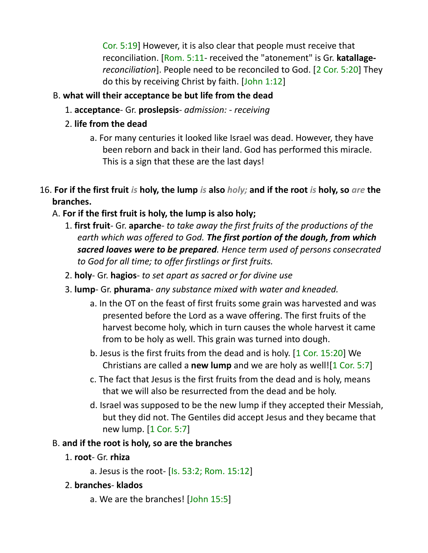Cor. 5:19] However, it is also clear that people must receive that reconciliation. [Rom. 5:11- received the "atonement" is Gr. **katallage***reconciliation*]. People need to be reconciled to God. [2 Cor. 5:20] They do this by receiving Christ by faith. [John 1:12]

# B. **what will their acceptance be but life from the dead**

- 1. **acceptance** Gr. **proslepsis** *admission: receiving*
- 2. **life from the dead**
	- a. For many centuries it looked like Israel was dead. However, they have been reborn and back in their land. God has performed this miracle. This is a sign that these are the last days!
- 16. **For if the first fruit** *is* **holy, the lump** *is* **also** *holy;* **and if the root** *is* **holy, so** *are* **the branches.**
	- A. **For if the first fruit is holy, the lump is also holy;**
		- 1. **first fruit** Gr. **aparche** *to take away the first fruits of the productions of the earth which was offered to God. The first portion of the dough, from which sacred loaves were to be prepared. Hence term used of persons consecrated to God for all time; to offer firstlings or first fruits.*
		- 2. **holy** Gr. **hagios** *to set apart as sacred or for divine use*
		- 3. **lump** Gr. **phurama** *any substance mixed with water and kneaded.*
			- a. In the OT on the feast of first fruits some grain was harvested and was presented before the Lord as a wave offering. The first fruits of the harvest become holy, which in turn causes the whole harvest it came from to be holy as well. This grain was turned into dough.
			- b. Jesus is the first fruits from the dead and is holy. [1 Cor. 15:20] We Christians are called a **new lump** and we are holy as well![1 Cor. 5:7]
			- c. The fact that Jesus is the first fruits from the dead and is holy, means that we will also be resurrected from the dead and be holy.
			- d. Israel was supposed to be the new lump if they accepted their Messiah, but they did not. The Gentiles did accept Jesus and they became that new lump. [1 Cor. 5:7]

### B. **and if the root is holy, so are the branches**

- 1. **root** Gr. **rhiza**
	- a. Jesus is the root- [Is. 53:2; Rom. 15:12]

### 2. **branches**- **klados**

a. We are the branches! [John 15:5]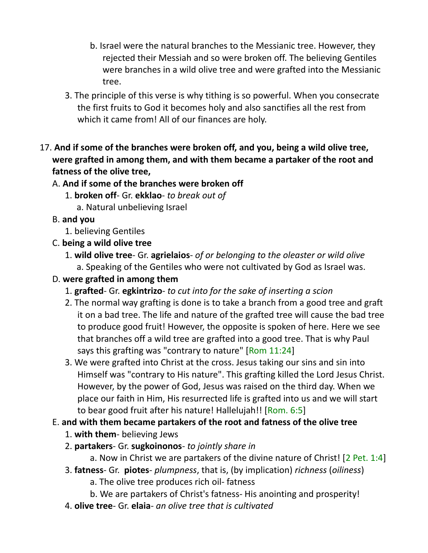- b. Israel were the natural branches to the Messianic tree. However, they rejected their Messiah and so were broken off. The believing Gentiles were branches in a wild olive tree and were grafted into the Messianic tree.
- 3. The principle of this verse is why tithing is so powerful. When you consecrate the first fruits to God it becomes holy and also sanctifies all the rest from which it came from! All of our finances are holy.
- 17. **And if some of the branches were broken off, and you, being a wild olive tree, were grafted in among them, and with them became a partaker of the root and fatness of the olive tree,** 
	- A. **And if some of the branches were broken off**
		- 1. **broken off** Gr. **ekklao** *to break out of*
			- a. Natural unbelieving Israel
	- B. **and you**
		- 1. believing Gentiles
	- C. **being a wild olive tree**
		- 1. **wild olive tree** Gr. **agrielaios** *of or belonging to the oleaster or wild olive* a. Speaking of the Gentiles who were not cultivated by God as Israel was.
	- D. **were grafted in among them**
		- 1. **grafted** Gr. **egkintrizo** *to cut into for the sake of inserting a scion*
		- 2. The normal way grafting is done is to take a branch from a good tree and graft it on a bad tree. The life and nature of the grafted tree will cause the bad tree to produce good fruit! However, the opposite is spoken of here. Here we see that branches off a wild tree are grafted into a good tree. That is why Paul says this grafting was "contrary to nature" [Rom 11:24]
		- 3. We were grafted into Christ at the cross. Jesus taking our sins and sin into Himself was "contrary to His nature". This grafting killed the Lord Jesus Christ. However, by the power of God, Jesus was raised on the third day. When we place our faith in Him, His resurrected life is grafted into us and we will start to bear good fruit after his nature! Hallelujah!! [Rom. 6:5]
	- E. **and with them became partakers of the root and fatness of the olive tree**
		- 1. **with them** believing Jews
		- 2. **partakers** Gr. **sugkoinonos** *to jointly share in*
			- a. Now in Christ we are partakers of the divine nature of Christ! [2 Pet. 1:4]
		- 3. **fatness** Gr. **piotes** *plumpness*, that is, (by implication) *richness* (*oiliness*)
			- a. The olive tree produces rich oil- fatness
			- b. We are partakers of Christ's fatness- His anointing and prosperity!
		- 4. **olive tree** Gr. **elaia** *an olive tree that is cultivated*